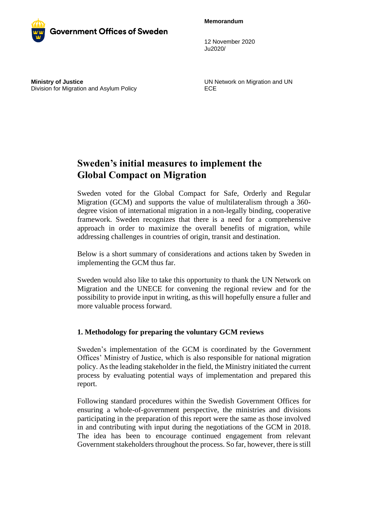**Memorandum**



12 November 2020 Ju2020/

**Ministry of Justice** Division for Migration and Asylum Policy UN Network on Migration and UN ECE

# **Sweden's initial measures to implement the Global Compact on Migration**

Sweden voted for the Global Compact for Safe, Orderly and Regular Migration (GCM) and supports the value of multilateralism through a 360 degree vision of international migration in a non-legally binding, cooperative framework. Sweden recognizes that there is a need for a comprehensive approach in order to maximize the overall benefits of migration, while addressing challenges in countries of origin, transit and destination.

Below is a short summary of considerations and actions taken by Sweden in implementing the GCM thus far.

Sweden would also like to take this opportunity to thank the UN Network on Migration and the UNECE for convening the regional review and for the possibility to provide input in writing, as this will hopefully ensure a fuller and more valuable process forward.

# **1. Methodology for preparing the voluntary GCM reviews**

Sweden's implementation of the GCM is coordinated by the Government Offices' Ministry of Justice, which is also responsible for national migration policy. As the leading stakeholder in the field, the Ministry initiated the current process by evaluating potential ways of implementation and prepared this report.

Following standard procedures within the Swedish Government Offices for ensuring a whole-of-government perspective, the ministries and divisions participating in the preparation of this report were the same as those involved in and contributing with input during the negotiations of the GCM in 2018. The idea has been to encourage continued engagement from relevant Government stakeholders throughout the process. So far, however, there is still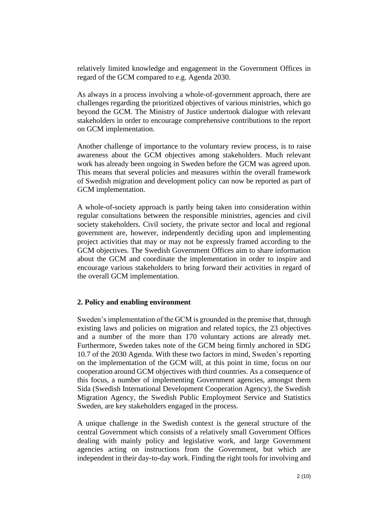relatively limited knowledge and engagement in the Government Offices in regard of the GCM compared to e.g. Agenda 2030.

As always in a process involving a whole-of-government approach, there are challenges regarding the prioritized objectives of various ministries, which go beyond the GCM. The Ministry of Justice undertook dialogue with relevant stakeholders in order to encourage comprehensive contributions to the report on GCM implementation.

Another challenge of importance to the voluntary review process, is to raise awareness about the GCM objectives among stakeholders. Much relevant work has already been ongoing in Sweden before the GCM was agreed upon. This means that several policies and measures within the overall framework of Swedish migration and development policy can now be reported as part of GCM implementation.

A whole-of-society approach is partly being taken into consideration within regular consultations between the responsible ministries, agencies and civil society stakeholders. Civil society, the private sector and local and regional government are, however, independently deciding upon and implementing project activities that may or may not be expressly framed according to the GCM objectives. The Swedish Government Offices aim to share information about the GCM and coordinate the implementation in order to inspire and encourage various stakeholders to bring forward their activities in regard of the overall GCM implementation.

#### **2. Policy and enabling environment**

Sweden's implementation of the GCM is grounded in the premise that, through existing laws and policies on migration and related topics, the 23 objectives and a number of the more than 170 voluntary actions are already met. Furthermore, Sweden takes note of the GCM being firmly anchored in SDG 10.7 of the 2030 Agenda. With these two factors in mind, Sweden's reporting on the implementation of the GCM will, at this point in time, focus on our cooperation around GCM objectives with third countries. As a consequence of this focus, a number of implementing Government agencies, amongst them Sida (Swedish International Development Cooperation Agency), the Swedish Migration Agency, the Swedish Public Employment Service and Statistics Sweden, are key stakeholders engaged in the process.

A unique challenge in the Swedish context is the general structure of the central Government which consists of a relatively small Government Offices dealing with mainly policy and legislative work, and large Government agencies acting on instructions from the Government, but which are independent in their day-to-day work. Finding the right tools for involving and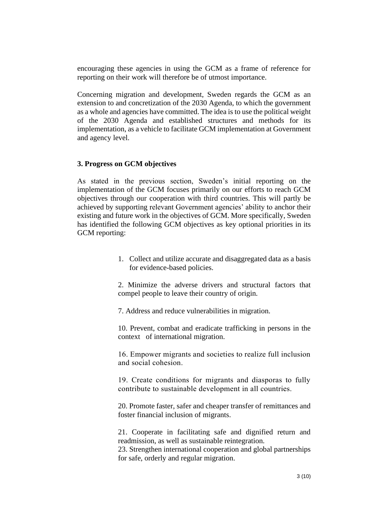encouraging these agencies in using the GCM as a frame of reference for reporting on their work will therefore be of utmost importance.

Concerning migration and development, Sweden regards the GCM as an extension to and concretization of the 2030 Agenda, to which the government as a whole and agencies have committed. The idea is to use the political weight of the 2030 Agenda and established structures and methods for its implementation, as a vehicle to facilitate GCM implementation at Government and agency level.

## **3. Progress on GCM objectives**

As stated in the previous section, Sweden's initial reporting on the implementation of the GCM focuses primarily on our efforts to reach GCM objectives through our cooperation with third countries. This will partly be achieved by supporting relevant Government agencies' ability to anchor their existing and future work in the objectives of GCM. More specifically, Sweden has identified the following GCM objectives as key optional priorities in its GCM reporting:

> 1. Collect and utilize accurate and disaggregated data as a basis for evidence-based policies.

> 2. Minimize the adverse drivers and structural factors that compel people to leave their country of origin*.*

7. Address and reduce vulnerabilities in migration.

10. Prevent, combat and eradicate trafficking in persons in the context of international migration.

16. Empower migrants and societies to realize full inclusion and social cohesion.

19. Create conditions for migrants and diasporas to fully contribute to sustainable development in all countries.

20. Promote faster, safer and cheaper transfer of remittances and foster financial inclusion of migrants.

21. Cooperate in facilitating safe and dignified return and readmission, as well as sustainable reintegration.

23. Strengthen international cooperation and global partnerships for safe, orderly and regular migration.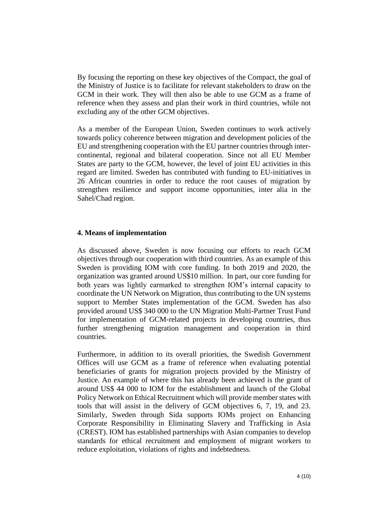By focusing the reporting on these key objectives of the Compact, the goal of the Ministry of Justice is to facilitate for relevant stakeholders to draw on the GCM in their work. They will then also be able to use GCM as a frame of reference when they assess and plan their work in third countries, while not excluding any of the other GCM objectives.

As a member of the European Union, Sweden continues to work actively towards policy coherence between migration and development policies of the EU and strengthening cooperation with the EU partner countries through intercontinental, regional and bilateral cooperation. Since not all EU Member States are party to the GCM, however, the level of joint EU activities in this regard are limited. Sweden has contributed with funding to EU-initiatives in 26 African countries in order to reduce the root causes of migration by strengthen resilience and support income opportunities, inter alia in the Sahel/Chad region.

## **4. Means of implementation**

As discussed above, Sweden is now focusing our efforts to reach GCM objectives through our cooperation with third countries. As an example of this Sweden is providing IOM with core funding. In both 2019 and 2020, the organization was granted around US\$10 million. In part, our core funding for both years was lightly earmarked to strengthen IOM's internal capacity to coordinate the UN Network on Migration, thus contributing to the UN systems support to Member States implementation of the GCM. Sweden has also provided around US\$ 340 000 to the UN Migration Multi-Partner Trust Fund for implementation of GCM-related projects in developing countries, thus further strengthening migration management and cooperation in third countries.

Furthermore, in addition to its overall priorities, the Swedish Government Offices will use GCM as a frame of reference when evaluating potential beneficiaries of grants for migration projects provided by the Ministry of Justice. An example of where this has already been achieved is the grant of around US\$ 44 000 to IOM for the establishment and launch of the Global Policy Network on Ethical Recruitment which will provide member states with tools that will assist in the delivery of GCM objectives 6, 7, 19, and 23. Similarly, Sweden through Sida supports IOMs project on Enhancing Corporate Responsibility in Eliminating Slavery and Trafficking in Asia (CREST). IOM has established partnerships with Asian companies to develop standards for ethical recruitment and employment of migrant workers to reduce exploitation, violations of rights and indebtedness.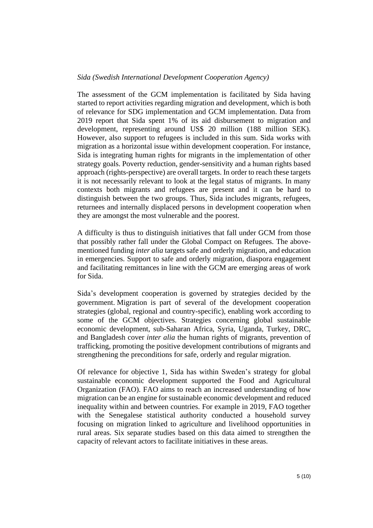The assessment of the GCM implementation is facilitated by Sida having started to report activities regarding migration and development, which is both of relevance for SDG implementation and GCM implementation. Data from 2019 report that Sida spent 1% of its aid disbursement to migration and development, representing around US\$ 20 million (188 million SEK). However, also support to refugees is included in this sum. Sida works with migration as a horizontal issue within development cooperation. For instance, Sida is integrating human rights for migrants in the implementation of other strategy goals. Poverty reduction, gender-sensitivity and a human rights based approach (rights-perspective) are overall targets. In order to reach these targets it is not necessarily relevant to look at the legal status of migrants. In many contexts both migrants and refugees are present and it can be hard to distinguish between the two groups. Thus, Sida includes migrants, refugees, returnees and internally displaced persons in development cooperation when they are amongst the most vulnerable and the poorest.

A difficulty is thus to distinguish initiatives that fall under GCM from those that possibly rather fall under the Global Compact on Refugees. The abovementioned funding *inter alia* targets safe and orderly migration, and education in emergencies. Support to safe and orderly migration, diaspora engagement and facilitating remittances in line with the GCM are emerging areas of work for Sida.

Sida's development cooperation is governed by strategies decided by the government. Migration is part of several of the development cooperation strategies (global, regional and country-specific), enabling work according to some of the GCM objectives. Strategies concerning global sustainable economic development, sub-Saharan Africa, Syria, Uganda, Turkey, DRC, and Bangladesh cover *inter alia* the human rights of migrants, prevention of trafficking, promoting the positive development contributions of migrants and strengthening the preconditions for safe, orderly and regular migration.

Of relevance for objective 1, Sida has within Sweden's strategy for global sustainable economic development supported the Food and Agricultural Organization (FAO). FAO aims to reach an increased understanding of how migration can be an engine for sustainable economic development and reduced inequality within and between countries. For example in 2019, FAO together with the Senegalese statistical authority conducted a household survey focusing on migration linked to agriculture and livelihood opportunities in rural areas. Six separate studies based on this data aimed to strengthen the capacity of relevant actors to facilitate initiatives in these areas.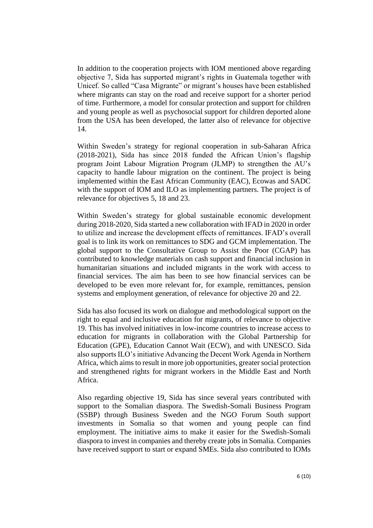In addition to the cooperation projects with IOM mentioned above regarding objective 7, Sida has supported migrant's rights in Guatemala together with Unicef. So called "Casa Migrante" or migrant's houses have been established where migrants can stay on the road and receive support for a shorter period of time. Furthermore, a model for consular protection and support for children and young people as well as psychosocial support for children deported alone from the USA has been developed, the latter also of relevance for objective 14.

Within Sweden's strategy for regional cooperation in sub-Saharan Africa (2018-2021), Sida has since 2018 funded the African Union's flagship program Joint Labour Migration Program (JLMP) to strengthen the AU's capacity to handle labour migration on the continent. The project is being implemented within the East African Community (EAC), Ecowas and SADC with the support of IOM and ILO as implementing partners. The project is of relevance for objectives 5, 18 and 23.

Within Sweden's strategy for global sustainable economic development during 2018-2020, Sida started a new collaboration with IFAD in 2020 in order to utilize and increase the development effects of remittances. IFAD's overall goal is to link its work on remittances to SDG and GCM implementation. The global support to the Consultative Group to Assist the Poor (CGAP) has contributed to knowledge materials on cash support and financial inclusion in humanitarian situations and included migrants in the work with access to financial services. The aim has been to see how financial services can be developed to be even more relevant for, for example, remittances, pension systems and employment generation, of relevance for objective 20 and 22.

Sida has also focused its work on dialogue and methodological support on the right to equal and inclusive education for migrants, of relevance to objective 19. This has involved initiatives in low-income countries to increase access to education for migrants in collaboration with the Global Partnership for Education (GPE), Education Cannot Wait (ECW), and with UNESCO. Sida also supports ILO's initiative Advancing the Decent Work Agenda in Northern Africa, which aims to result in more job opportunities, greater social protection and strengthened rights for migrant workers in the Middle East and North Africa.

Also regarding objective 19, Sida has since several years contributed with support to the Somalian diaspora. The Swedish-Somali Business Program (SSBP) through Business Sweden and the NGO Forum South support investments in Somalia so that women and young people can find employment. The initiative aims to make it easier for the Swedish-Somali diaspora to invest in companies and thereby create jobs in Somalia. Companies have received support to start or expand SMEs. Sida also contributed to IOMs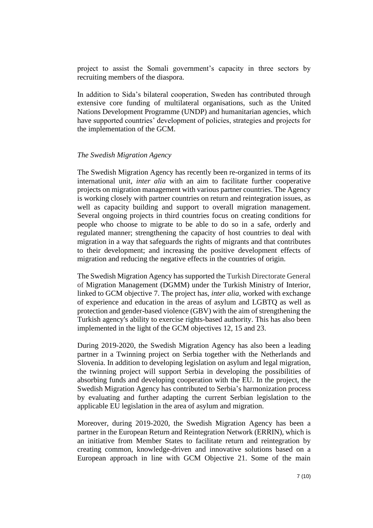project to assist the Somali government's capacity in three sectors by recruiting members of the diaspora.

In addition to Sida's bilateral cooperation, Sweden has contributed through extensive core funding of multilateral organisations, such as the United Nations Development Programme (UNDP) and humanitarian agencies, which have supported countries' development of policies, strategies and projects for the implementation of the GCM.

#### *The Swedish Migration Agency*

The Swedish Migration Agency has recently been re-organized in terms of its international unit, *inter alia* with an aim to facilitate further cooperative projects on migration management with various partner countries. The Agency is working closely with partner countries on return and reintegration issues, as well as capacity building and support to overall migration management. Several ongoing projects in third countries focus on creating conditions for people who choose to migrate to be able to do so in a safe, orderly and regulated manner; strengthening the capacity of host countries to deal with migration in a way that safeguards the rights of migrants and that contributes to their development; and increasing the positive development effects of migration and reducing the negative effects in the countries of origin.

The Swedish Migration Agency has supported the Turkish Directorate General of Migration Management (DGMM) under the Turkish Ministry of Interior, linked to GCM objective 7. The project has, *inter alia*, worked with exchange of experience and education in the areas of asylum and LGBTQ as well as protection and gender-based violence (GBV) with the aim of strengthening the Turkish agency's ability to exercise rights-based authority. This has also been implemented in the light of the GCM objectives 12, 15 and 23.

During 2019-2020, the Swedish Migration Agency has also been a leading partner in a Twinning project on Serbia together with the Netherlands and Slovenia. In addition to developing legislation on asylum and legal migration, the twinning project will support Serbia in developing the possibilities of absorbing funds and developing cooperation with the EU. In the project, the Swedish Migration Agency has contributed to Serbia's harmonization process by evaluating and further adapting the current Serbian legislation to the applicable EU legislation in the area of asylum and migration.

Moreover, during 2019-2020, the Swedish Migration Agency has been a partner in the European Return and Reintegration Network (ERRIN), which is an initiative from Member States to facilitate return and reintegration by creating common, knowledge-driven and innovative solutions based on a European approach in line with GCM Objective 21. Some of the main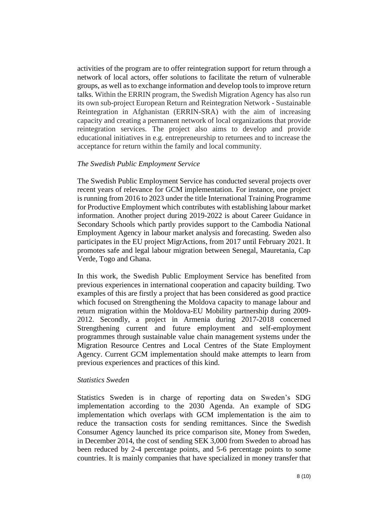activities of the program are to offer reintegration support for return through a network of local actors, offer solutions to facilitate the return of vulnerable groups, as well as to exchange information and develop tools to improve return talks. Within the ERRIN program, the Swedish Migration Agency has also run its own sub-project European Return and Reintegration Network - Sustainable Reintegration in Afghanistan (ERRIN-SRA) with the aim of increasing capacity and creating a permanent network of local organizations that provide reintegration services. The project also aims to develop and provide educational initiatives in e.g. entrepreneurship to returnees and to increase the acceptance for return within the family and local community.

## *The Swedish Public Employment Service*

The Swedish Public Employment Service has conducted several projects over recent years of relevance for GCM implementation. For instance, one project is running from 2016 to 2023 under the title International Training Programme for Productive Employment which contributes with establishing labour market information. Another project during 2019-2022 is about Career Guidance in Secondary Schools which partly provides support to the Cambodia National Employment Agency in labour market analysis and forecasting. Sweden also participates in the EU project MigrActions, from 2017 until February 2021. It promotes safe and legal labour migration between Senegal, Mauretania, Cap Verde, Togo and Ghana.

In this work, the Swedish Public Employment Service has benefited from previous experiences in international cooperation and capacity building. Two examples of this are firstly a project that has been considered as good practice which focused on Strengthening the Moldova capacity to manage labour and return migration within the Moldova-EU Mobility partnership during 2009- 2012. Secondly, a project in Armenia during 2017-2018 concerned Strengthening current and future employment and self-employment programmes through sustainable value chain management systems under the Migration Resource Centres and Local Centres of the State Employment Agency. Current GCM implementation should make attempts to learn from previous experiences and practices of this kind.

#### *Statistics Sweden*

Statistics Sweden is in charge of reporting data on Sweden's SDG implementation according to the 2030 Agenda. An example of SDG implementation which overlaps with GCM implementation is the aim to reduce the transaction costs for sending remittances. Since the Swedish Consumer Agency launched its price comparison site, Money from Sweden, in December 2014, the cost of sending SEK 3,000 from Sweden to abroad has been reduced by 2-4 percentage points, and 5-6 percentage points to some countries. It is mainly companies that have specialized in money transfer that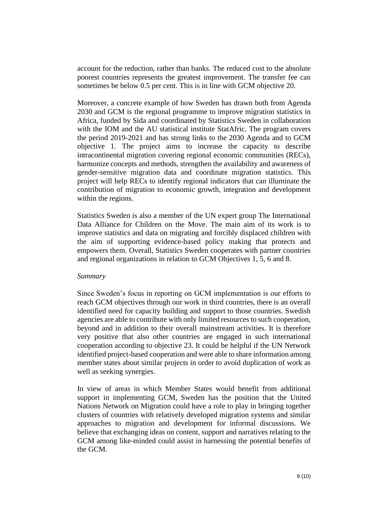account for the reduction, rather than banks. The reduced cost to the absolute poorest countries represents the greatest improvement. The transfer fee can sometimes be below 0.5 per cent. This is in line with GCM objective 20.

Moreover, a concrete example of how Sweden has drawn both from Agenda 2030 and GCM is the regional programme to improve migration statistics in Africa, funded by Sida and coordinated by Statistics Sweden in collaboration with the IOM and the AU statistical institute StatAfric. The program covers the period 2019-2021 and has strong links to the 2030 Agenda and to GCM objective 1. The project aims to increase the capacity to describe intracontinental migration covering regional economic communities (RECs), harmonize concepts and methods, strengthen the availability and awareness of gender-sensitive migration data and coordinate migration statistics. This project will help RECs to identify regional indicators that can illuminate the contribution of migration to economic growth, integration and development within the regions.

Statistics Sweden is also a member of the UN expert group The International Data Alliance for Children on the Move. The main aim of its work is to improve statistics and data on migrating and forcibly displaced children with the aim of supporting evidence-based policy making that protects and empowers them. Overall, Statistics Sweden cooperates with partner countries and regional organizations in relation to GCM Objectives 1, 5, 6 and 8.

#### *Summary*

Since Sweden's focus in reporting on GCM implementation is our efforts to reach GCM objectives through our work in third countries, there is an overall identified need for capacity building and support to those countries. Swedish agencies are able to contribute with only limited resources to such cooperation, beyond and in addition to their overall mainstream activities. It is therefore very positive that also other countries are engaged in such international cooperation according to objective 23. It could be helpful if the UN Network identified project-based cooperation and were able to share information among member states about similar projects in order to avoid duplication of work as well as seeking synergies.

In view of areas in which Member States would benefit from additional support in implementing GCM, Sweden has the position that the United Nations Network on Migration could have a role to play in bringing together clusters of countries with relatively developed migration systems and similar approaches to migration and development for informal discussions. We believe that exchanging ideas on content, support and narratives relating to the GCM among like-minded could assist in harnessing the potential benefits of the GCM.